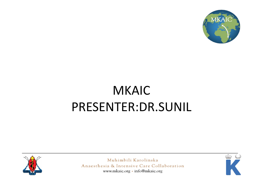

### MKAIC PRESENTER:DR.SUNIL



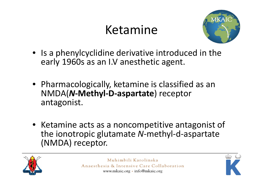## Ketamine



- Is a phenylcyclidine derivative introduced in the early 1960s as an I.V anesthetic agent.
- Pharmacologically, ketamine is classified as an NMDA(*N***‐Methyl‐D‐aspartate**) receptor antagonist.
- Ketamine acts as a noncompetitive antagonist of the ionotropic glutamate *N*‐methyl‐d‐aspartate (NMDA) receptor.



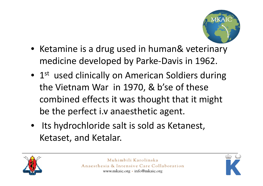

- Ketamine is <sup>a</sup> drug used in human& veterinary medicine developed by Parke‐Davis in 1962.
- $1^{\text{st}}$  used clinically on American Soldiers during the Vietnam War in 1970, & b'se of these combined effects it was thought that it might be the perfect i.v anaesthetic agent.
- Its hydrochloride salt is sold as Ketanest, Ketaset, and Ketalar.



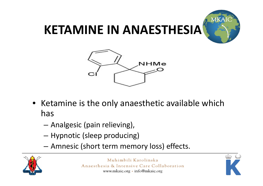

### **KETAMINE IN ANAESTHESIA**



- Ketamine is the only anaesthetic available which has
	- –Analgesic (pain relieving),
	- –Hypnotic (sleep producing)
	- Amnesic (short term memory loss) effects.



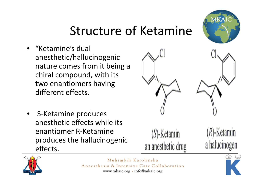#### Structure of Ketamine

- • "Ketamine's dual anesthetic/hallucinogenic nature comes from it being <sup>a</sup> chiral compound, with its two enantiomers having different effects.
- $\bullet$  S‐Ketamine produces anesthetic effects while its enantiomer R‐Ketamineproduces the hallucinogenic effects.



an anesthetic drug



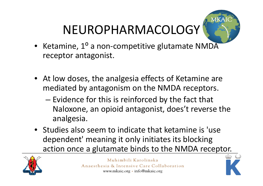# NEUROPHARMACOLOGY



- Ketamine, 1 ⁰<sup>o</sup> a non-competitive glutamate NMDA receptor antagonist.
- At low doses, the analgesia effects of Ketamine are mediated by antagonism on the NMDA receptors.
	- $-$  Evidence for this is reinforced by the fact that Naloxone, an opioid antagonist, does't reverse the analgesia.
- Studies also seem to indicate that ketamine is 'use dependent' meaning it only initiates its blocking action once a glutamate binds to the NMDA receptor.



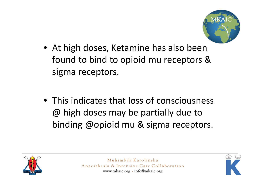

- At high doses, Ketamine has also been found to bind to opioid mu receptors & sigma receptors.
- This indicates that loss of consciousness @ high doses may be partially due to binding @opioid mu & sigma receptors.



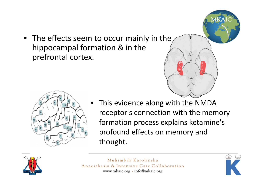• The effects seem to occur mainly in the hippocampal formation & in the prefrontal cortex.





 This evidence along with the NMDA receptor's connection with the memory formation process explains ketamine's profound effects on memory and thought.



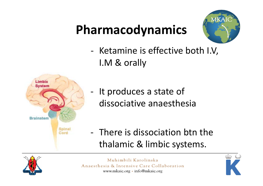## **Pharmacodynamics**



‐ Ketamine is effective both I.V, I.M & orally



- ‐- It produces a state of dissociative anaesthesia
- ‐ There is dissociation btn the thalamic & limbic systems.



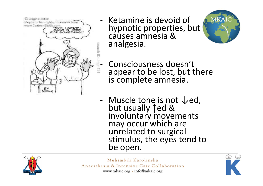© Original Artist Reproduction rights, obtainable from He production rights, obtainable from<br>www.CartoonStock.com<br>NOW\_I\_N\_MOWE CAME IN HERE<br>OR GOMETHING!" search IE

‐

‐

- Ketamine is devoid of hypnotic properties, but causes amnesia &analgesia.



 Consciousness doesn't appear to be lost, but there is complete amnesia.

‐ Muscle tone is not ↓ed, but usually 1ed & involuntary movements may occur which are<br>unrelated to surgical stimulus, the eyes tend to be open.



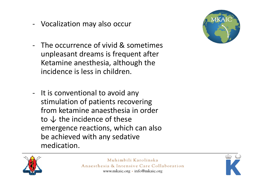- $\blacksquare$ Vocalization may also occur
- $\blacksquare$  The occurrence of vivid & sometimes unpleasant dreams is frequent after Ketamine anesthesia, although the incidence is less in children.



‐ It is conventional to avoid any stimulation of patients recovering from ketamine anaesthesia in order to  $↓$  the incidence of these emergence reactions, which can also be achieved with any sedative medication.



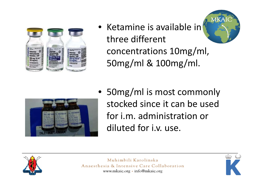

• Ketamine is available in three different concentrations 10mg/ml, 50mg/ml & 100mg/ml.





• 50mg/ml is most commonly stocked since it can be used for i.m. administration or diluted for i.v. use.



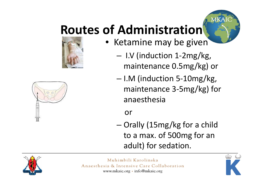## **Routes of Administration**





- I.V (induction 1‐2mg/kg, maintenance 0.5mg/kg) or
- I.M (induction 5‐10mg/kg, maintenance 3‐5mg/kg) for anaesthesia

or

– Orally (15mg/kg for <sup>a</sup> child to <sup>a</sup> max. of 500mg for an adult) for sedation.





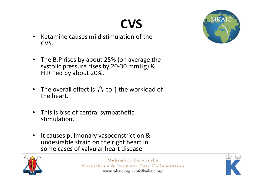## **CVS**

- • $\bullet$  Ketamine causes mild stimulation of the CVS.
- $\bullet$  The B.P rises by about 25% (on average the systolic pressure rises by 20‐30 mmHg) & H.R  $\uparrow$ ed by about 20%.
- $\bullet$  $\bullet$  The overall effect is  ${}_{\text{o}} {}^{ \text{o}}$  to  $\uparrow$  the workload of the heart.
- $\bullet$  This is b'se of central sympathetic stimulation.
- $\bullet$ **•** It causes pulmonary vasoconstriction & undesirable strain on the right heart in some cases of valvular heart disease.





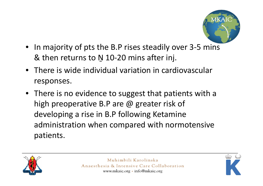

- In majority of pts the B.P rises steadily over 3‐5 mins & then returns to N 10-20 mins after inj.
- There is wide individual variation in cardiovascular responses.
- There is no evidence to suggest that patients with <sup>a</sup> high preoperative B.P are @ greater risk of developing <sup>a</sup> rise in B.P following Ketamine administration when compared with normotensive patients.



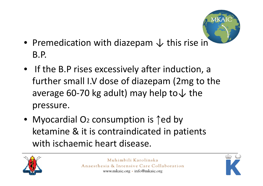

- Premedication with diazepam  $\downarrow$  this rise in B.P.
- If the B.P rises excessively after induction, <sup>a</sup> further small I.V dose of diazepam (2mg to the average 60-70 kg adult) may help to  $\downarrow$  the pressure.
- Myocardial O2 consumption is 1ed by ketamine & it is contraindicated in patients with ischaemic heart disease.



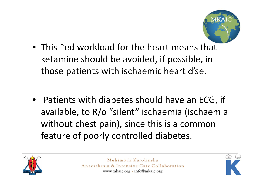

- This ↑ed workload for the heart means that ketamine should be avoided, if possible, in those patients with ischaemic heart d'se.
- Patients with diabetes should have an ECG, if available, to R/o "silent" ischaemia (ischaemia without chest pain), since this is <sup>a</sup> common feature of poorly controlled diabetes.



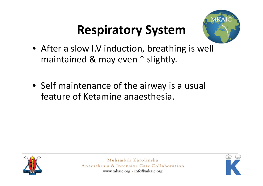## **Respiratory System**



- After <sup>a</sup> slow I.V induction, breathing is well maintained & may even ↑ slightly.
- Self maintenance of the airway is <sup>a</sup> usual feature of Ketamine anaesthesia.



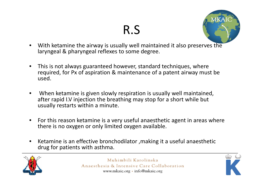### R.S



- • With ketamine the airway is usually well maintained it also preserves the laryngeal & pharyngeal reflexes to some degree.
- • This is not always guaranteed however, standard techniques, where required, for Px of aspiration & maintenance of <sup>a</sup> patent airway must be used.
- • When ketamine is given slowly respiration is usually well maintained, after rapid I.V injection the breathing may stop for <sup>a</sup> short while but usually restarts within <sup>a</sup> minute.
- • For this reason ketamine is <sup>a</sup> very useful anaesthetic agent in areas where there is no oxygen or only limited oxygen available.
- • Ketamine is an effective bronchodilator ,making it <sup>a</sup> useful anaesthetic drug for patients with asthma.



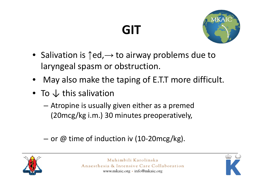## **GIT**



- Salivation is  $\uparrow$ ed, $\rightarrow$  to airway problems due to laryngeal spasm or obstruction.
- •May also make the taping of E.T.T more difficult.
- To  $\downarrow$  this salivation
	- – Atropine is usually given either as <sup>a</sup> premed (20mcg/kg i.m.) 30 minutes preoperatively,
	- − or @ time of induction iv (10-20mcg/kg).



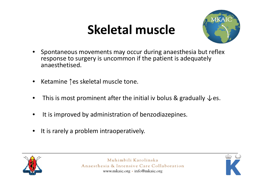## **Skeletal muscle**



- $\bullet$  Spontaneous movements may occur during anaesthesia but reflex response to surgery is uncommon if the patient is adequately anaesthetised.
- $\bullet$ ● Ketamine ↑es skeletal muscle tone.
- •• This is most prominent after the initial iv bolus & gradually  $\downarrow$  es.
- •• It is improved by administration of benzodiazepines.
- $\bullet$ • It is rarely a problem intraoperatively.



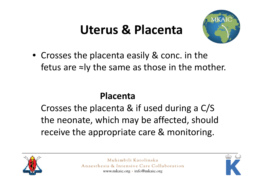## **Uterus & Placenta**



• Crosses the placenta easily & conc. in the fetus are <sup>≈</sup>ly the same as those in the mother.

#### **Placenta**

Crosses the placenta & if used during <sup>a</sup> C/S the neonate, which may be affected, should receive the appropriate care & monitoring.



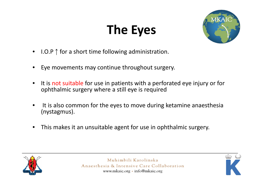## **The Eyes**



- •• I.O.P  $\uparrow$  for a short time following administration.
- •Eye movements may continue throughout surgery.
- •• It is not suitable for use in patients with a perforated eye injury or for ophthalmic surgery where <sup>a</sup> still eye is required
- •• It is also common for the eyes to move during ketamine anaesthesia (nystagmus).
- •This makes it an unsuitable agent for use in ophthalmic surgery.



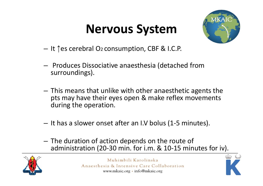## **Nervous System**



- – $-$  It ↑es cerebral O2 consumption, CBF & I.C.P.
- – $-$  Produces Dissociative anaesthesia (detached from surroundings).
- $-$  This means that unlike with other anaesthetic agents the pts may have their eyes open & make reflex movements during the operation.
- It has <sup>a</sup> slower onset after an I.V bolus (1‐5 minutes).
- $-$  The duration of action depends on the route of administration (20‐30 min. for i.m. & 10‐15 minutes for iv).



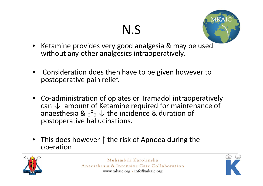## N.S



- Ketamine provides very good analgesia & may be used without any other analgesics intraoperatively.
- • Consideration does then have to be given however to postoperative pain relief.
- Co-administration of opiates or Tramadol intraoperatively can  $\downarrow$  amount of Ketamine required for maintenance of anaesthesia &  $_0^0$ ,  $\downarrow$  the incidence & duration of postoperative hallucinations.
- $\bullet$  This does however ↑ the risk of Apnoea during the operation



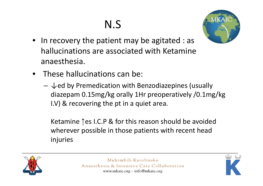## N.S



- In recovery the patient may be agitated : as hallucinations are associated with Ketamine anaesthesia.
- These hallucinations can be:
	- $\downarrow$ ed by Premedication with Benzodiazepines (usually diazepam 0.15mg/kg orally 1Hr preoperatively /0.1mg/kg I.V) & recovering the pt in <sup>a</sup> quiet area.

Ketamine ↑es I.C.P & for this reason should be avoided wherever possible in those patients with recent head injuries



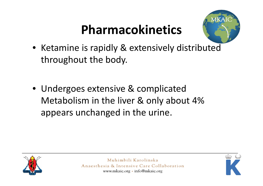## **Pharmacokinetics**



- Ketamine is rapidly & extensively distributed throughout the body.
- Undergoes extensive & complicated Metabolism in the liver & only about 4% appears unchanged in the urine.



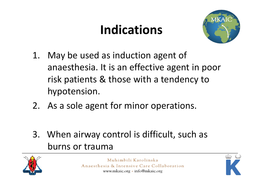## **Indications**



- 1. May be used as induction agent of anaesthesia. It is an effective agent in poor risk patients & those with <sup>a</sup> tendency to hypotension.
- 2. As a sole agent for minor operations.
- 3. When airway control is difficult, such as burns or trauma



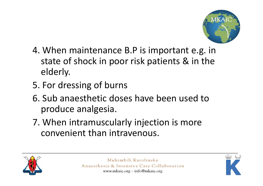

- 4. When maintenance B.P is important e.g. in state of shock in poor risk patients & in the elderly.
- 5. For dressing of burns
- 6. Sub anaesthetic doses have been used toproduce analgesia.
- 7. When intramuscularly injection is more convenient than intravenous.



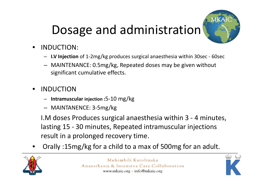## Dosage and administration



- • INDUCTION:
	- **I.V Injection** of 1‐2mg/kg produces surgical anaesthesia within 30sec ‐ 60sec
	- MAINTENANCE: 0.5mg/kg, Repeated doses may be given without significant cumulative effects.
- •**INDUCTION** 
	- **Intramuscular injection :**5‐10 mg/kg
	- MAINTANENCE: 3‐5mg/kg

I.M doses Produces surgical anaesthesia within 3 ‐ 4 minutes, lasting 15 ‐ 30 minutes, Repeated intramuscular injections result in <sup>a</sup> prolonged recovery time.

•Orally :15mg/kg for <sup>a</sup> child to <sup>a</sup> max of 500mg for an adult.



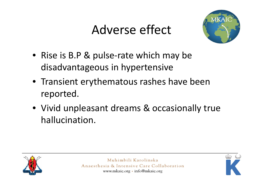## Adverse effect



- Rise is B.P & pulse‐rate which may be disadvantageous in hypertensive
- Transient erythematous rashes have been reported.
- Vivid unpleasant dreams & occasionally true hallucination.



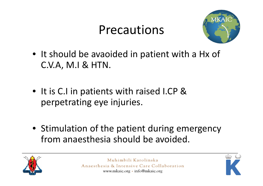#### Precautions



- It should be avaoided in patient with <sup>a</sup> Hx of C.V.A, M.I & HTN.
- It is C.I in patients with raised I.CP & perpetrating eye injuries.
- Stimulation of the patient during emergency from anaesthesia should be avoided.



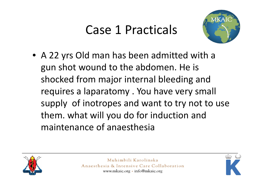### Case 1 Practicals



• A 22 yrs Old man has been admitted with <sup>a</sup> gun shot wound to the abdomen. He is shocked from major internal bleeding and requires <sup>a</sup> laparatomy . You have very small supply of inotropes and want to try not to use them. what will you do for induction and maintenance of anaesthesia



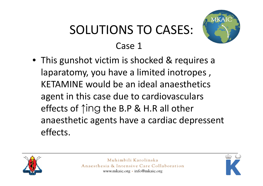## SOLUTIONS TO CASES: Case 1



• This gunshot victim is shocked & requires <sup>a</sup> laparatomy, you have <sup>a</sup> limited inotropes , KETAMINE would be an ideal anaesthetics agent in this case due to cardiovasculars effects of ↑ing the B.P & H.R all other anaesthetic agents have <sup>a</sup> cardiac depressent effects.



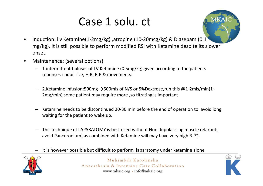#### Case 1 solu. ct



- $\bullet$  Induction: i.v Ketamine(1‐2mg/kg) ,atropine (10‐20mcg/kg) & Diazepam (0.1 mg/kg). It is still possible to perform modified RSI with Ketamine despite its slower onset.
- • Maintanence: (several options)
	- 1.intermittent boluses of I.V Ketamine (0.5mg/kg) given according to the patients reponses : pupil size, H.R, B.P & movements.
	- 2.Ketamine infusion:500mg →500mls of N/S or 5%Dextrose,run this @1‐2mls/min(1‐ 2mg/min),some patient may require more ,so titrating is important
	- Ketamine needs to be discontinued 20‐30 min before the end of operation to avoid long waiting for the patient to wake up.
	- This technique of LAPARATOMY is best used without Non depolarising muscle relaxant( avoid Pancuronium) as combined with Ketamine will may have very high B.P↑.
	- It is however possible but difficult to perform laparatomy under ketamine alone



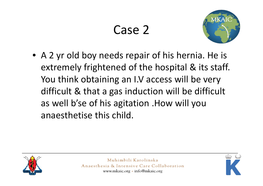

• A 2 yr old boy needs repair of his hernia. He is extremely frightened of the hospital & its staff. You think obtaining an I.V access will be very difficult & that <sup>a</sup> gas induction will be difficult as well b'se of his agitation .How will you anaesthetise this child.



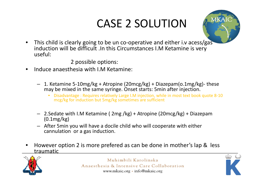#### CASE 2 SOLUTION



• This child is clearly going to be un co‐operative and either i.v acess/gas induction will be difficult .In this Circumstances I.M Ketamine is very useful:

2 possible options:

- •**•** Induce anaesthesia with I.M Ketamine:
	- 1. Ketamine 5‐10mg/kg <sup>+</sup> Atropine (20mcg/kg) <sup>+</sup> Diazepam(o.1mg/kg)‐ these may be mixed in the same syringe. Onset starts: 5min after injection.
		- • Disadvantage : Requires relatively Large I.M injection, while in most text book quote 8‐10 mcg/kg for induction but 5mg/kg sometimes are sufficient
	- 2.Sedate with I.M Ketamine ( 2mg /kg) <sup>+</sup> Atropine (20mcg/kg) <sup>+</sup> Diazepam (0.1mg/kg)
	- After 5min you will have <sup>a</sup> docile child who will cooperate with either cannulation or a gas induction.
- • However option 2 is more prefered as can be done in mother's lap & less traumatic



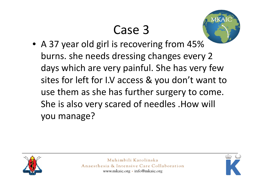

• A 37 year old girl is recovering from 45% burns. she needs dressing changes every 2 days which are very painful. She has very few sites for left for I.V access & you don't want to use them as she has further surgery to come. She is also very scared of needles .How will you manage?



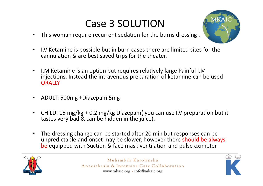#### Case 3 SOLUTION

•This woman require recurrent sedation for the burns dressing .



- $\bullet$ • I.V Ketamine is possible but in burn cases there are limited sites for the cannulation & are best saved trips for the theater.
- $\bullet$ • I.M Ketamine is an option but requires relatively large Painful I.M injections. Instead the intravenous preparation of ketamine can be used **ORALLY**
- •ADULT: 500mg +Diazepam 5mg
- • CHILD: 15 mg/kg <sup>+</sup> 0.2 mg/kg Diazepam( you can use I.V preparation but it tastes very bad & can be hidden in the juice).
- $\bullet$  The dressing change can be started after 20 min but responses can be unpredictable and onset may be slower, however there should be always be equipped with Suction & face mask ventilation and pulse oximeter



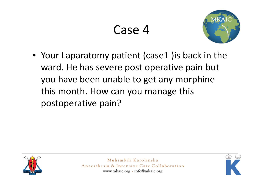

• Your Laparatomy patient (case1 )is back in the ward. He has severe post operative pain but you have been unable to get any morphine this month. How can you manage this postoperative pain?



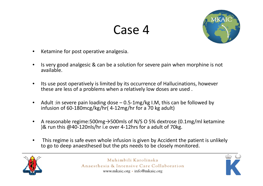

- •Ketamine for post operative analgesia.
- •• Is very good analgesic & can be a solution for severe pain when morphine is not available.
- •• Its use post operatively is limited by its occurrence of Hallucinations, however these are less of <sup>a</sup> problems when <sup>a</sup> relatively low doses are used .
- $\bullet$ ● Adult :in severe pain loading dose – 0.5-1mg/kg I.M, this can be followed by infusion of 60‐180mcg/kg/hr( 4‐12mg/hr for <sup>a</sup> 70 kg adult)
- $\bullet$  A reasonable regime:500mg→500mls of N/S O 5% dextrose (0.1mg/ml ketamine )& run this @40‐120nls/hr i.e over 4‐12hrs for <sup>a</sup> adult of 70kg.
- • This regime is safe even whole infusion is given by Accident the patient is unlikely to go to deep anaesthesed but the pts needs to be closely monitored.



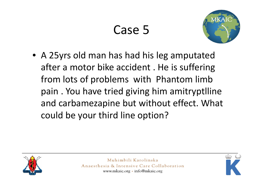

• A 25yrs old man has had his leg amputated after a motor bike accident . He is suffering from lots of problems with Phantom limb pain . You have tried giving him amitryptlline and carbamezapine but without effect. What could be your third line option?



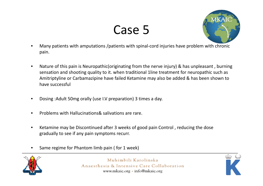

- • Many patients with amputations /patients with spinal‐cord injuries have problem with chronic pain.
- $\bullet$  Nature of this pain is Neuropathic(originating from the nerve injury) & has unpleasant , burning sensation and shooting quality to it. when traditional 1line treatment for neuropathic such as Amitriptyline or Carbamazipine have failed Ketamine may also be added & has been shown to have successful
- $\bullet$ Dosing :Adult 50mg orally (use I.V preparation) 3 times <sup>a</sup> day.
- •**•** Problems with Hallucinations& salivations are rare.
- •• Ketamine may be Discontinued after 3 weeks of good pain Control, reducing the dose gradually to see if any pain symptoms recurr.
- •• Same regime for Phantom limb pain ( for 1 week)



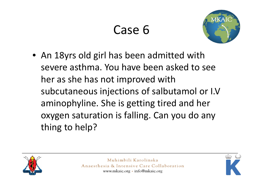

• An 18yrs old girl has been admitted with severe asthma. You have been asked to see her as she has not improved with subcutaneous injections of salbutamol or I.V aminophyline. She is getting tired and her oxygen saturation is falling. Can you do any thing to help?



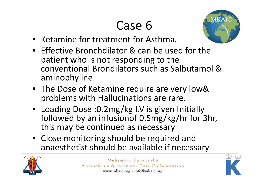

- Ketamine for treatment for Asthma.
- Effective Bronchdilator & can be used for the patient who is not responding to the conventional Brondilators such as Salbutamol &aminophyline.
- The Dose of Ketamine require are very low& problems with Hallucinations are rare.
- Loading Dose :0.2mg/kg I.V is given Initially followed by an infusionof 0.5mg/kg/hr for 3hr, this may be continued as necessary
- Close monitoring should be required and anaesthetist should be available if necessary